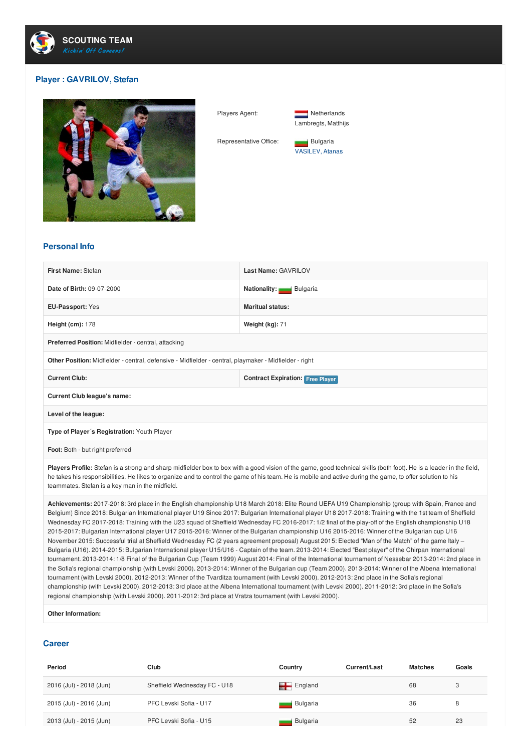

## **Player : GAVRILOV, Stefan**



Players Agent: Netherlands



Representative Office: **Bulgaria** VASILEV, Atanas

## **Personal Info**

| First Name: Stefan                                                                                     | Last Name: GAVRILOV                     |  |  |  |
|--------------------------------------------------------------------------------------------------------|-----------------------------------------|--|--|--|
| Date of Birth: 09-07-2000                                                                              | Nationality: Bulgaria                   |  |  |  |
| <b>EU-Passport: Yes</b>                                                                                | <b>Maritual status:</b>                 |  |  |  |
| Height $(cm): 178$                                                                                     | Weight $(kg)$ : 71                      |  |  |  |
| Preferred Position: Midfielder - central, attacking                                                    |                                         |  |  |  |
| Other Position: Midfielder - central, defensive - Midfielder - central, playmaker - Midfielder - right |                                         |  |  |  |
| <b>Current Club:</b>                                                                                   | <b>Contract Expiration: Free Player</b> |  |  |  |
| <b>Current Club league's name:</b>                                                                     |                                         |  |  |  |
| Level of the league:                                                                                   |                                         |  |  |  |
| Type of Player's Registration: Youth Player                                                            |                                         |  |  |  |
| Foot: Both - but right preferred                                                                       |                                         |  |  |  |

Players Profile: Stefan is a strong and sharp midfielder box to box with a good vision of the game, good technical skills (both foot). He is a leader in the field, he takes his responsibilities. He likes to organize and to control the game of his team. He is mobile and active during the game, to offer solution to his teammates. Stefan is a key man in the midfield.

**Achievements:** 2017-2018: 3rd place in the English championship U18 March 2018: Elite Round UEFA U19 Championship (group with Spain, France and Belgium) Since 2018: Bulgarian International player U19 Since 2017: Bulgarian International player U18 2017-2018: Training with the 1st team of Sheffield Wednesday FC 2017-2018: Training with the U23 squad of Sheffield Wednesday FC 2016-2017: 1/2 final of the play-off of the English championship U18 2015-2017: Bulgarian International player U17 2015-2016: Winner of the Bulgarian championship U16 2015-2016: Winner of the Bulgarian cup U16 November 2015: Successful trial at Sheffield Wednesday FC (2 years agreement proposal) August 2015: Elected "Man of the Match" of the game Italy – Bulgaria (U16). 2014-2015: Bulgarian International player U15/U16 - Captain of the team. 2013-2014: Elected "Best player" of the Chirpan International tournament. 2013-2014: 1/8 Final of the Bulgarian Cup (Team 1999) August 2014: Final of the International tournament of Nessebar 2013-2014: 2nd place in the Sofia's regional championship (with Levski 2000). 2013-2014: Winner of the Bulgarian cup (Team 2000). 2013-2014: Winner of the Albena International tournament (with Levski 2000). 2012-2013: Winner of the Tvarditza tournament (with Levski 2000). 2012-2013: 2nd place in the Sofia's regional championship (with Levski 2000). 2012-2013: 3rd place at the Albena International tournament (with Levski 2000). 2011-2012: 3rd place in the Sofia's regional championship (with Levski 2000). 2011-2012: 3rd place at Vratza tournament (with Levski 2000).

**Other Information:**

## **Career**

| Period                  | Club                         | Country                | Current/Last | <b>Matches</b> | Goals |
|-------------------------|------------------------------|------------------------|--------------|----------------|-------|
| 2016 (Jul) - 2018 (Jun) | Sheffield Wednesday FC - U18 | $\blacksquare$ England |              | 68             | 3     |
| 2015 (Jul) - 2016 (Jun) | PFC Levski Sofia - U17       | Bulgaria               |              | 36             | 8     |
| 2013 (Jul) - 2015 (Jun) | PFC Levski Sofia - U15       | Bulgaria               |              | 52             | 23    |